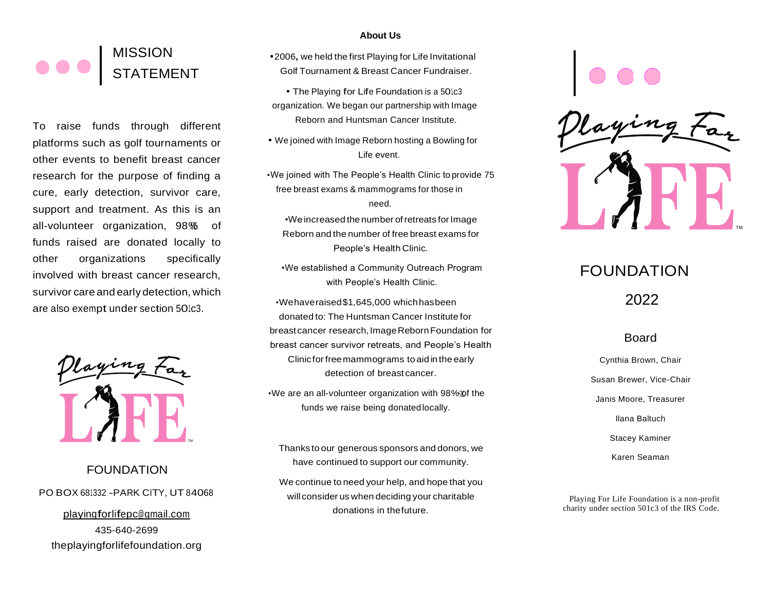## MISSION **STATEMENT**

To raise funds through different platforms such as golf tournaments or other events to benefit breast cancer research for the purpose of finding a cure, early detection, survivor care, support and treatment. As this is an all-volunteer organization, 98% of funds raised are donated locally to other organizations specifically involved with breast cancer research, survivor care and early detection, which are also exempt under section 501c3.



FOUNDATION PO BOX <sup>681332</sup> -PARK CITY, UT 84068 [playingforlifepc@gmail.com](mailto:playingforlifepc@gmail.com) 435-640-2699 theplayingforlifefoundation.org

#### **About Us**

**•**2006**,** we held the first Playing for Life Invitational Golf Tournament & Breast Cancer Fundraiser.

**•** The Playing for Life Foundation is <sup>a</sup> 501c3 organization. We began our partnership with Image Reborn and Huntsman Cancer Institute.

**•** We joined with Image Reborn hosting a Bowling for Life event.

•We joined with The People's Health Clinic to provide 75 free breast exams & mammograms for those in need.

•We increased the number of retreats for Image Reborn and the number of free breast exams for People's Health Clinic.

•We established a Community Outreach Program with People's Health Clinic.

•Wehaveraised\$1,645,000 whichhasbeen donated to: The Huntsman Cancer Institute for breastcancer research,ImageRebornFoundation for breast cancer survivor retreats, and People's Health Clinic forfreemammograms to aid in the early detection of breast cancer. Net the mumber of free breast exams for<br>
Finding to<br>
iffically<br>
Search,<br>
We established a Community Outreach Program<br>
with People's Health Clinic.<br>
We established a Community Outreach Program<br>
Which<br>
with People's Health C

•We are an all-volunteer organization with 98%% the funds we raise being donatedlocally.

Thanks to our generous sponsors and donors, we have continued to support our community.

We continue to need your help, and hope that you will consider us when deciding your charitable donations in thefuture.



# FOUNDATION

2022

### Board

Cynthia Brown, Chair Susan Brewer, Vice-Chair Janis Moore, Treasurer Ilana Baltuch Stacey Kaminer Karen Seaman

Playing For Life Foundation is a non-profit charity under section 501c3 of the IRS Code.